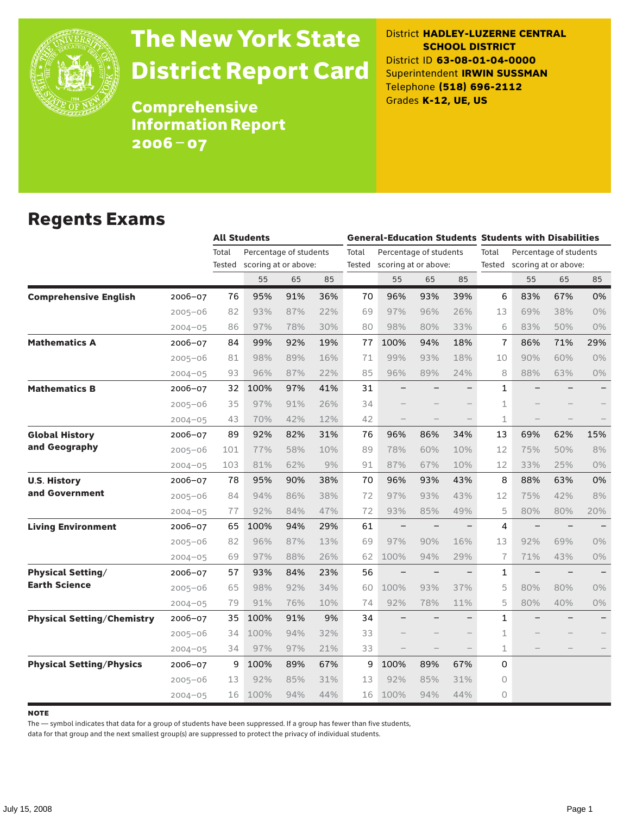

# The New York State District Report Card

District **HADLEY-LUZERNE CENTRAL SCHOOL DISTRICT** District ID **63-08-01-04-0000** Superintendent **IRWIN SUSSMAN** Telephone **(518) 696-2112** Grades **K-12, UE, US**

Comprehensive Information Report 2006–07

#### Regents Exams

|                                   |             |        | <b>All Students</b>    |     |     |       | <b>General-Education Students Students with Disabilities</b> |     |     |                                 |                             |     |                   |  |
|-----------------------------------|-------------|--------|------------------------|-----|-----|-------|--------------------------------------------------------------|-----|-----|---------------------------------|-----------------------------|-----|-------------------|--|
|                                   |             | Total  | Percentage of students |     |     | Total | Percentage of students                                       |     |     | Total<br>Percentage of students |                             |     |                   |  |
|                                   |             | Tested | scoring at or above:   |     |     |       | Tested scoring at or above:                                  |     |     |                                 | Tested scoring at or above: |     |                   |  |
|                                   |             |        | 55                     | 65  | 85  |       | 55                                                           | 65  | 85  |                                 | 55                          | 65  | 85                |  |
| <b>Comprehensive English</b>      | 2006-07     | 76     | 95%                    | 91% | 36% | 70    | 96%                                                          | 93% | 39% | 6                               | 83%                         | 67% | 0%                |  |
|                                   | $2005 - 06$ | 82     | 93%                    | 87% | 22% | 69    | 97%                                                          | 96% | 26% | 13                              | 69%                         | 38% | 0%                |  |
|                                   | $2004 - 05$ | 86     | 97%                    | 78% | 30% | 80    | 98%                                                          | 80% | 33% | 6                               | 83%                         | 50% | 0%                |  |
| <b>Mathematics A</b>              | 2006-07     | 84     | 99%                    | 92% | 19% | 77    | 100%                                                         | 94% | 18% | $\overline{1}$                  | 86%                         | 71% | 29%               |  |
|                                   | $2005 - 06$ | 81     | 98%                    | 89% | 16% | 71    | 99%                                                          | 93% | 18% | 10                              | 90%                         | 60% | 0%                |  |
|                                   | $2004 - 05$ | 93     | 96%                    | 87% | 22% | 85    | 96%                                                          | 89% | 24% | 8                               | 88%                         | 63% | 0%                |  |
| <b>Mathematics B</b>              | 2006-07     | 32     | 100%                   | 97% | 41% | 31    |                                                              |     |     | $\mathbf{1}$                    |                             |     |                   |  |
|                                   | $2005 - 06$ | 35     | 97%                    | 91% | 26% | 34    |                                                              |     |     | 1                               |                             |     |                   |  |
|                                   | $2004 - 05$ | 43     | 70%                    | 42% | 12% | 42    |                                                              |     |     | $\mathbf 1$                     |                             |     |                   |  |
| <b>Global History</b>             | 2006-07     | 89     | 92%                    | 82% | 31% | 76    | 96%                                                          | 86% | 34% | 13                              | 69%                         | 62% | 15%               |  |
| and Geography                     | $2005 - 06$ | 101    | 77%                    | 58% | 10% | 89    | 78%                                                          | 60% | 10% | 12                              | 75%                         | 50% | 8%                |  |
|                                   | $2004 - 05$ | 103    | 81%                    | 62% | 9%  | 91    | 87%                                                          | 67% | 10% | 12                              | 33%                         | 25% | 0%                |  |
| <b>U.S. History</b>               | 2006-07     | 78     | 95%                    | 90% | 38% | 70    | 96%                                                          | 93% | 43% | 8                               | 88%                         | 63% | 0%                |  |
| and Government                    | $2005 - 06$ | 84     | 94%                    | 86% | 38% | 72    | 97%                                                          | 93% | 43% | 12                              | 75%                         | 42% | 8%                |  |
|                                   | $2004 - 05$ | 77     | 92%                    | 84% | 47% | 72    | 93%                                                          | 85% | 49% | 5                               | 80%                         | 80% | 20%               |  |
| <b>Living Environment</b>         | 2006-07     | 65     | 100%                   | 94% | 29% | 61    | $\overline{\phantom{0}}$                                     |     |     | 4                               | $\qquad \qquad -$           |     |                   |  |
|                                   | 2005-06     | 82     | 96%                    | 87% | 13% | 69    | 97%                                                          | 90% | 16% | 13                              | 92%                         | 69% | $0\%$             |  |
|                                   | $2004 - 05$ | 69     | 97%                    | 88% | 26% | 62    | 100%                                                         | 94% | 29% | $\overline{1}$                  | 71%                         | 43% | $0\%$             |  |
| <b>Physical Setting/</b>          | 2006-07     | 57     | 93%                    | 84% | 23% | 56    | $\overline{\phantom{0}}$                                     |     |     | 1                               |                             |     |                   |  |
| <b>Earth Science</b>              | $2005 - 06$ | 65     | 98%                    | 92% | 34% | 60    | 100%                                                         | 93% | 37% | 5                               | 80%                         | 80% | $0\%$             |  |
|                                   | $2004 - 05$ | 79     | 91%                    | 76% | 10% | 74    | 92%                                                          | 78% | 11% | 5                               | 80%                         | 40% | $0\%$             |  |
| <b>Physical Setting/Chemistry</b> | 2006-07     | 35     | 100%                   | 91% | 9%  | 34    |                                                              |     |     | $\mathbf{1}$                    |                             |     | $\qquad \qquad -$ |  |
|                                   | $2005 - 06$ | 34     | 100%                   | 94% | 32% | 33    |                                                              |     |     | $\mathbf{1}$                    |                             |     |                   |  |
|                                   | $2004 - 05$ | 34     | 97%                    | 97% | 21% | 33    |                                                              |     |     | 1                               |                             |     |                   |  |
| <b>Physical Setting/Physics</b>   | 2006-07     | 9      | 100%                   | 89% | 67% | 9     | 100%                                                         | 89% | 67% | 0                               |                             |     |                   |  |
|                                   | 2005-06     | 13     | 92%                    | 85% | 31% | 13    | 92%                                                          | 85% | 31% | 0                               |                             |     |                   |  |
|                                   | $2004 - 05$ | 16     | 100%                   | 94% | 44% | 16    | 100%                                                         | 94% | 44% | $\circ$                         |                             |     |                   |  |

**NOTE** 

The — symbol indicates that data for a group of students have been suppressed. If a group has fewer than five students,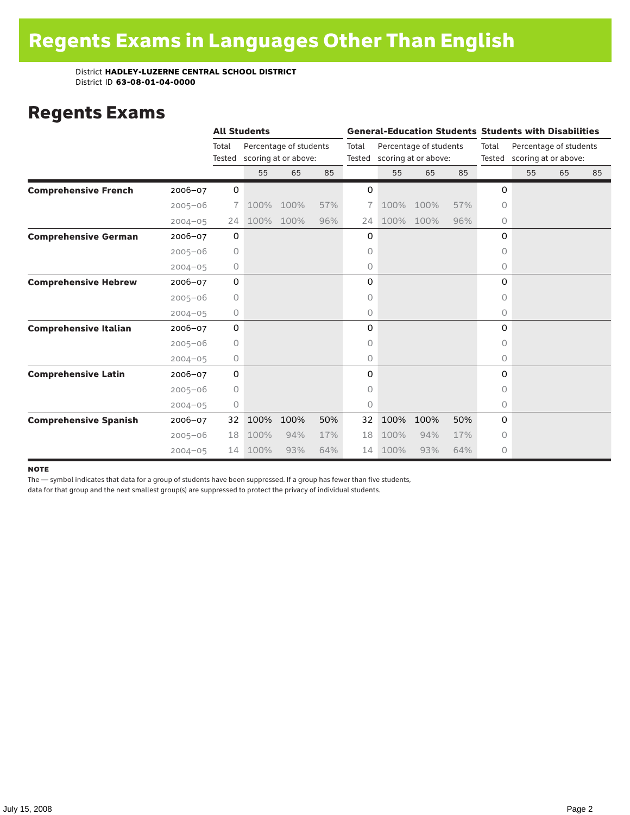### Regents Exams

|                              |             |                 | <b>All Students</b> |                                                |     |                 | <b>General-Education Students Students with Disabilities</b> |                                                |     |                 |                                                |    |    |  |
|------------------------------|-------------|-----------------|---------------------|------------------------------------------------|-----|-----------------|--------------------------------------------------------------|------------------------------------------------|-----|-----------------|------------------------------------------------|----|----|--|
|                              |             | Total<br>Tested |                     | Percentage of students<br>scoring at or above: |     | Total<br>Tested |                                                              | Percentage of students<br>scoring at or above: |     | Total<br>Tested | Percentage of students<br>scoring at or above: |    |    |  |
|                              |             |                 | 55                  | 65                                             | 85  |                 | 55                                                           | 65                                             | 85  |                 | 55                                             | 65 | 85 |  |
| <b>Comprehensive French</b>  | 2006-07     | $\mathbf 0$     |                     |                                                |     | 0               |                                                              |                                                |     | 0               |                                                |    |    |  |
|                              | $2005 - 06$ | 7.              | 100%                | 100%                                           | 57% | 7               | 100%                                                         | 100%                                           | 57% | $\Omega$        |                                                |    |    |  |
|                              | $2004 - 05$ | 24              | 100%                | 100%                                           | 96% | 24              | 100%                                                         | 100%                                           | 96% | 0               |                                                |    |    |  |
| <b>Comprehensive German</b>  | 2006-07     | 0               |                     |                                                |     | 0               |                                                              |                                                |     | 0               |                                                |    |    |  |
|                              | $2005 - 06$ | 0               |                     |                                                |     | 0               |                                                              |                                                |     | $\circ$         |                                                |    |    |  |
|                              | $2004 - 05$ | 0               |                     |                                                |     | 0               |                                                              |                                                |     | 0               |                                                |    |    |  |
| <b>Comprehensive Hebrew</b>  | 2006-07     | 0               |                     |                                                |     | 0               |                                                              |                                                |     | 0               |                                                |    |    |  |
|                              | $2005 - 06$ | 0               |                     |                                                |     | 0               |                                                              |                                                |     | 0               |                                                |    |    |  |
|                              | $2004 - 05$ | 0               |                     |                                                |     | 0               |                                                              |                                                |     | 0               |                                                |    |    |  |
| <b>Comprehensive Italian</b> | 2006-07     | 0               |                     |                                                |     | 0               |                                                              |                                                |     | 0               |                                                |    |    |  |
|                              | $2005 - 06$ | 0               |                     |                                                |     | 0               |                                                              |                                                |     | $\Omega$        |                                                |    |    |  |
|                              | $2004 - 05$ | 0               |                     |                                                |     | 0               |                                                              |                                                |     | 0               |                                                |    |    |  |
| <b>Comprehensive Latin</b>   | 2006-07     | 0               |                     |                                                |     | 0               |                                                              |                                                |     | 0               |                                                |    |    |  |
|                              | $2005 - 06$ | 0               |                     |                                                |     | 0               |                                                              |                                                |     | 0               |                                                |    |    |  |
|                              | $2004 - 05$ | 0               |                     |                                                |     | 0               |                                                              |                                                |     | 0               |                                                |    |    |  |
| <b>Comprehensive Spanish</b> | 2006-07     | 32              | 100%                | 100%                                           | 50% | 32              | 100%                                                         | 100%                                           | 50% | 0               |                                                |    |    |  |
|                              | $2005 - 06$ | 18              | 100%                | 94%                                            | 17% | 18              | 100%                                                         | 94%                                            | 17% | 0               |                                                |    |    |  |
|                              | $2004 - 05$ | 14              | 100%                | 93%                                            | 64% | 14              | 100%                                                         | 93%                                            | 64% | 0               |                                                |    |    |  |

#### **NOTE**

The — symbol indicates that data for a group of students have been suppressed. If a group has fewer than five students,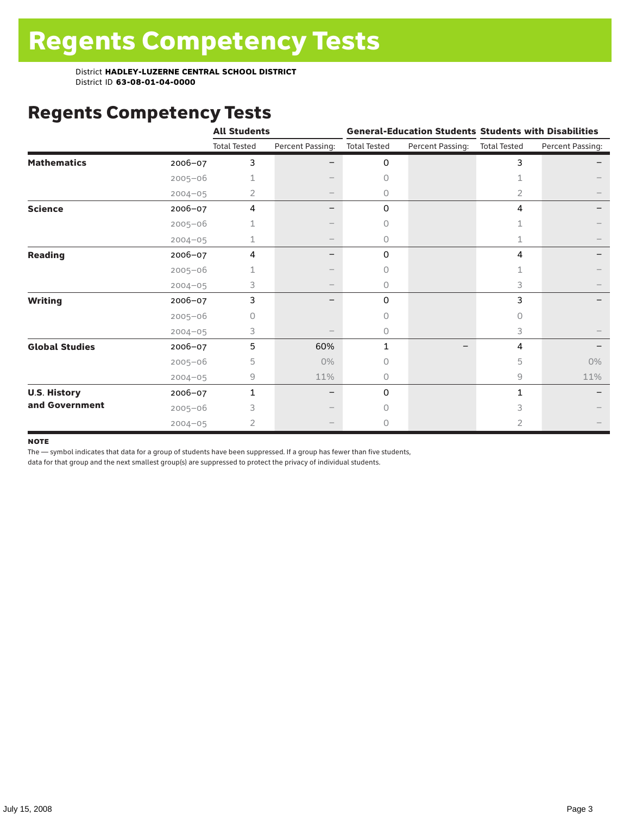# Regents Competency Tests

|                       |             | <b>All Students</b> |                                 |                     |                  | <b>General-Education Students Students with Disabilities</b> |                  |  |
|-----------------------|-------------|---------------------|---------------------------------|---------------------|------------------|--------------------------------------------------------------|------------------|--|
|                       |             | <b>Total Tested</b> | Percent Passing:                | <b>Total Tested</b> | Percent Passing: | <b>Total Tested</b>                                          | Percent Passing: |  |
| <b>Mathematics</b>    | 2006-07     | 3                   |                                 | 0                   |                  | 3                                                            |                  |  |
|                       | $2005 - 06$ |                     |                                 | $\circ$             |                  | 1                                                            |                  |  |
|                       | $2004 - 05$ | 2                   | $\hspace{0.1mm}-\hspace{0.1mm}$ | 0                   |                  | 2                                                            |                  |  |
| <b>Science</b>        | 2006-07     | 4                   |                                 | 0                   |                  | 4                                                            |                  |  |
|                       | $2005 - 06$ |                     |                                 | 0                   |                  | 1                                                            |                  |  |
|                       | $2004 - 05$ | 1                   |                                 | 0                   |                  | 1                                                            |                  |  |
| <b>Reading</b>        | 2006-07     | 4                   | -                               | 0                   |                  | 4                                                            |                  |  |
|                       | $2005 - 06$ |                     |                                 | $\Omega$            |                  | 1                                                            |                  |  |
|                       | $2004 - 05$ | 3                   |                                 | $\circ$             |                  | 3                                                            |                  |  |
| <b>Writing</b>        | 2006-07     | 3                   |                                 | 0                   |                  | 3                                                            |                  |  |
|                       | $2005 - 06$ | 0                   |                                 | $\Omega$            |                  | 0                                                            |                  |  |
|                       | $2004 - 05$ | 3                   |                                 | 0                   |                  | 3                                                            |                  |  |
| <b>Global Studies</b> | 2006-07     | 5                   | 60%                             | 1                   |                  | 4                                                            |                  |  |
|                       | $2005 - 06$ | 5                   | 0%                              | 0                   |                  | 5                                                            | $0\%$            |  |
|                       | $2004 - 05$ | 9                   | 11%                             | $\circ$             |                  | 9                                                            | 11%              |  |
| <b>U.S. History</b>   | 2006-07     | 1                   |                                 | 0                   |                  | 1                                                            |                  |  |
| and Government        | $2005 - 06$ | 3                   |                                 | O                   |                  | 3                                                            |                  |  |
|                       | $2004 - 05$ | $\overline{2}$      |                                 | $\Omega$            |                  | $\overline{2}$                                               |                  |  |

#### **NOTE**

The — symbol indicates that data for a group of students have been suppressed. If a group has fewer than five students,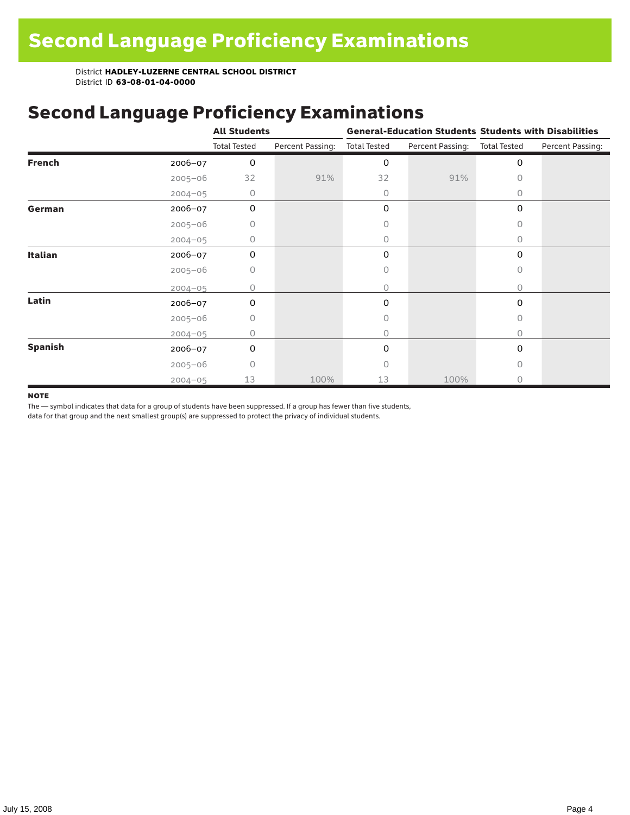## Second Language Proficiency Examinations

|                |             | <b>All Students</b> |                  |                     |                  | <b>General-Education Students Students with Disabilities</b> |                  |  |
|----------------|-------------|---------------------|------------------|---------------------|------------------|--------------------------------------------------------------|------------------|--|
|                |             | <b>Total Tested</b> | Percent Passing: | <b>Total Tested</b> | Percent Passing: | <b>Total Tested</b>                                          | Percent Passing: |  |
| <b>French</b>  | 2006-07     | 0                   |                  | 0                   |                  | 0                                                            |                  |  |
|                | $2005 - 06$ | 32                  | 91%              | 32                  | 91%              | 0                                                            |                  |  |
|                | $2004 - 05$ | 0                   |                  | 0                   |                  | 0                                                            |                  |  |
| German         | 2006-07     | $\mathbf 0$         |                  | 0                   |                  | 0                                                            |                  |  |
|                | $2005 - 06$ | 0                   |                  | 0                   |                  | 0                                                            |                  |  |
|                | $2004 - 05$ | 0                   |                  | 0                   |                  | $\Omega$                                                     |                  |  |
| <b>Italian</b> | 2006-07     | 0                   |                  | 0                   |                  | $\Omega$                                                     |                  |  |
|                | $2005 - 06$ | 0                   |                  | 0                   |                  | $\circ$                                                      |                  |  |
|                | $2004 - 05$ | Ω                   |                  | 0                   |                  | 0                                                            |                  |  |
| Latin          | 2006-07     | 0                   |                  | 0                   |                  | 0                                                            |                  |  |
|                | $2005 - 06$ | 0                   |                  | 0                   |                  | $\Omega$                                                     |                  |  |
|                | $2004 - 05$ | 0                   |                  | 0                   |                  | 0                                                            |                  |  |
| <b>Spanish</b> | 2006-07     | 0                   |                  | 0                   |                  | 0                                                            |                  |  |
|                | $2005 - 06$ | $\Omega$            |                  | Ω                   |                  | $\bigcap$                                                    |                  |  |
|                | $2004 - 05$ | 13                  | 100%             | 13                  | 100%             | 0                                                            |                  |  |

#### **NOTE**

The — symbol indicates that data for a group of students have been suppressed. If a group has fewer than five students,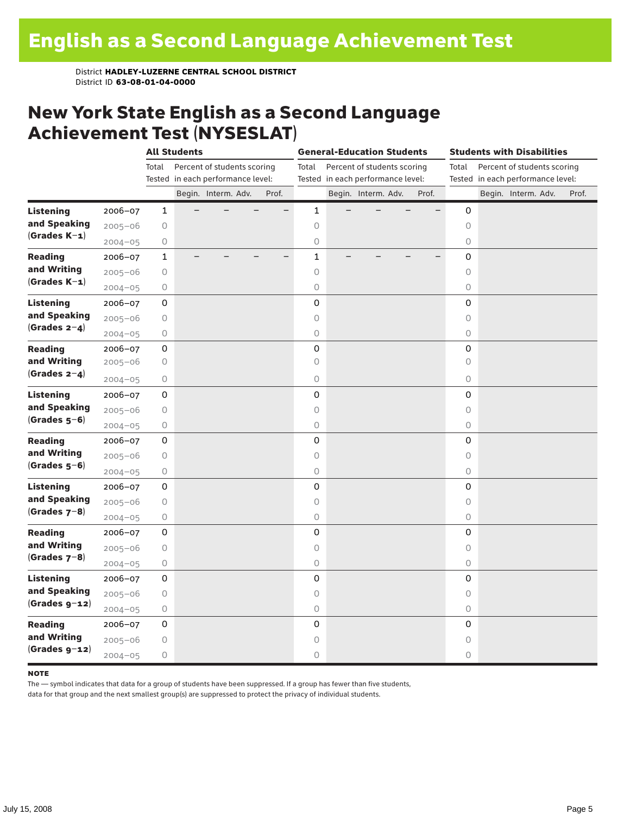### New York State English as a Second Language Achievement Test (NYSESLAT)

|                  |             | <b>All Students</b> |  |                                   |  | <b>General-Education Students</b> |                     |  |                                   |  | <b>Students with Disabilities</b> |                     |  |                                   |  |       |
|------------------|-------------|---------------------|--|-----------------------------------|--|-----------------------------------|---------------------|--|-----------------------------------|--|-----------------------------------|---------------------|--|-----------------------------------|--|-------|
|                  |             | Total               |  | Percent of students scoring       |  |                                   | Total               |  | Percent of students scoring       |  |                                   | Total               |  | Percent of students scoring       |  |       |
|                  |             |                     |  | Tested in each performance level: |  |                                   |                     |  | Tested in each performance level: |  |                                   |                     |  | Tested in each performance level: |  |       |
|                  |             |                     |  | Begin. Interm. Adv.               |  | Prof.                             |                     |  | Begin. Interm. Adv.               |  | Prof.                             |                     |  | Begin. Interm. Adv.               |  | Prof. |
| <b>Listening</b> | 2006-07     | $\mathbf{1}$        |  |                                   |  |                                   | $\mathbf{1}$        |  |                                   |  |                                   | 0                   |  |                                   |  |       |
| and Speaking     | $2005 - 06$ | $\circ$             |  |                                   |  |                                   | $\circ$             |  |                                   |  |                                   | $\circ$             |  |                                   |  |       |
| $(Grades K-1)$   | $2004 - 05$ | $\bigcirc$          |  |                                   |  |                                   | $\circlearrowright$ |  |                                   |  |                                   | $\circ$             |  |                                   |  |       |
| <b>Reading</b>   | 2006-07     | $\mathbf{1}$        |  |                                   |  |                                   | $\mathbf{1}$        |  |                                   |  |                                   | 0                   |  |                                   |  |       |
| and Writing      | $2005 - 06$ | $\bigcirc$          |  |                                   |  |                                   | $\circ$             |  |                                   |  |                                   | $\circ$             |  |                                   |  |       |
| $(Grades K-1)$   | $2004 - 05$ | $\bigcirc$          |  |                                   |  |                                   | $\circ$             |  |                                   |  |                                   | 0                   |  |                                   |  |       |
| <b>Listening</b> | 2006-07     | 0                   |  |                                   |  |                                   | $\mathsf{O}\xspace$ |  |                                   |  |                                   | 0                   |  |                                   |  |       |
| and Speaking     | $2005 - 06$ | $\bigcirc$          |  |                                   |  |                                   | $\circ$             |  |                                   |  |                                   | $\circ$             |  |                                   |  |       |
| $(Grades 2-4)$   | $2004 - 05$ | $\bigcirc$          |  |                                   |  |                                   | $\circ$             |  |                                   |  |                                   | $\circ$             |  |                                   |  |       |
| <b>Reading</b>   | 2006-07     | 0                   |  |                                   |  |                                   | 0                   |  |                                   |  |                                   | 0                   |  |                                   |  |       |
| and Writing      | $2005 - 06$ | 0                   |  |                                   |  |                                   | 0                   |  |                                   |  |                                   | $\circ$             |  |                                   |  |       |
| (Grades $2-4$ )  | $2004 - 05$ | $\bigcirc$          |  |                                   |  |                                   | $\circ$             |  |                                   |  |                                   | 0                   |  |                                   |  |       |
| <b>Listening</b> | 2006-07     | 0                   |  |                                   |  |                                   | 0                   |  |                                   |  |                                   | 0                   |  |                                   |  |       |
| and Speaking     | $2005 - 06$ | 0                   |  |                                   |  |                                   | $\circ$             |  |                                   |  |                                   | $\circlearrowright$ |  |                                   |  |       |
| $(Grades 5-6)$   | $2004 - 05$ | $\bigcirc$          |  |                                   |  |                                   | $\mathsf O$         |  |                                   |  |                                   | 0                   |  |                                   |  |       |
| <b>Reading</b>   | 2006-07     | 0                   |  |                                   |  |                                   | 0                   |  |                                   |  |                                   | $\mathbf 0$         |  |                                   |  |       |
| and Writing      | $2005 - 06$ | $\bigcirc$          |  |                                   |  |                                   | $\circ$             |  |                                   |  |                                   | $\circ$             |  |                                   |  |       |
| $(Grades 5-6)$   | $2004 - 05$ | $\bigcirc$          |  |                                   |  |                                   | $\bigcirc$          |  |                                   |  |                                   | 0                   |  |                                   |  |       |
| <b>Listening</b> | 2006-07     | 0                   |  |                                   |  |                                   | 0                   |  |                                   |  |                                   | 0                   |  |                                   |  |       |
| and Speaking     | $2005 - 06$ | 0                   |  |                                   |  |                                   | $\circ$             |  |                                   |  |                                   | $\circ$             |  |                                   |  |       |
| $(Grades 7-8)$   | $2004 - 05$ | 0                   |  |                                   |  |                                   | $\bigcirc$          |  |                                   |  |                                   | $\circ$             |  |                                   |  |       |
| <b>Reading</b>   | 2006-07     | 0                   |  |                                   |  |                                   | 0                   |  |                                   |  |                                   | 0                   |  |                                   |  |       |
| and Writing      | $2005 - 06$ | $\bigcirc$          |  |                                   |  |                                   | $\circ$             |  |                                   |  |                                   | 0                   |  |                                   |  |       |
| $(Grades 7-8)$   | $2004 - 05$ | $\bigcirc$          |  |                                   |  |                                   | $\mathsf O$         |  |                                   |  |                                   | 0                   |  |                                   |  |       |
| <b>Listening</b> | 2006-07     | 0                   |  |                                   |  |                                   | 0                   |  |                                   |  |                                   | $\mathbf 0$         |  |                                   |  |       |
| and Speaking     | $2005 - 06$ | $\bigcirc$          |  |                                   |  |                                   | $\circ$             |  |                                   |  |                                   | $\circ$             |  |                                   |  |       |
| $(Grades g-12)$  | $2004 - 05$ | 0                   |  |                                   |  |                                   | $\bigcirc$          |  |                                   |  |                                   | 0                   |  |                                   |  |       |
| <b>Reading</b>   | 2006-07     | 0                   |  |                                   |  |                                   | 0                   |  |                                   |  |                                   | 0                   |  |                                   |  |       |
| and Writing      | $2005 - 06$ | $\bigcirc$          |  |                                   |  |                                   | $\circ$             |  |                                   |  |                                   | $\circ$             |  |                                   |  |       |
| $(Grades g-12)$  | $2004 - 05$ | $\bigcirc$          |  |                                   |  |                                   | $\circ$             |  |                                   |  |                                   | 0                   |  |                                   |  |       |

#### **NOTE**

The — symbol indicates that data for a group of students have been suppressed. If a group has fewer than five students,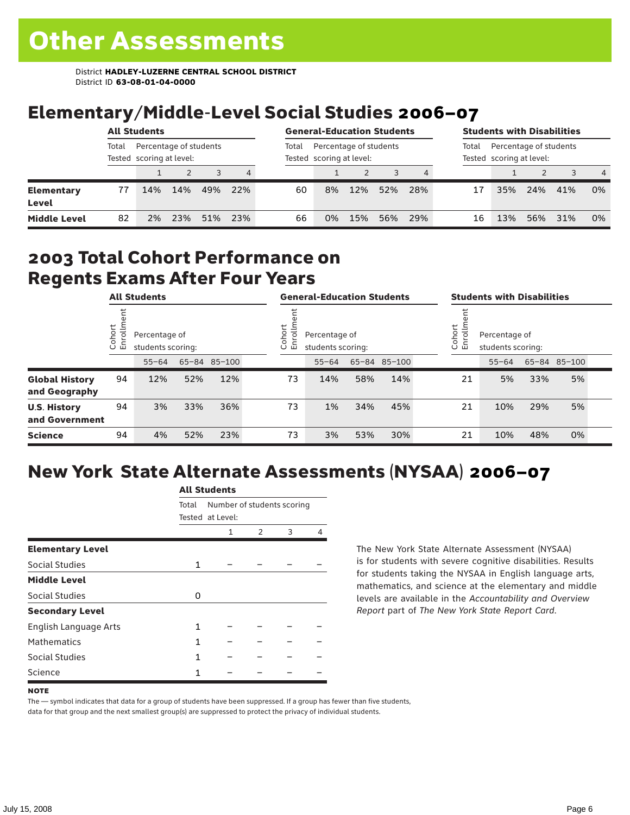# Elementary/Middle-Level Social Studies 2006–07

|                            | <b>All Students</b>                                         |     |     |       |                                                    |    | <b>General-Education Students</b> |     |       |                                                    |    | <b>Students with Disabilities</b> |     |     |                |  |
|----------------------------|-------------------------------------------------------------|-----|-----|-------|----------------------------------------------------|----|-----------------------------------|-----|-------|----------------------------------------------------|----|-----------------------------------|-----|-----|----------------|--|
|                            | Percentage of students<br>Total<br>Tested scoring at level: |     |     | Total | Percentage of students<br>Tested scoring at level: |    |                                   |     | Total | Percentage of students<br>Tested scoring at level: |    |                                   |     |     |                |  |
|                            |                                                             |     |     |       | 4                                                  |    |                                   |     |       |                                                    |    |                                   |     |     | $\overline{4}$ |  |
| <b>Elementary</b><br>Level | 77                                                          | 14% | 14% | 49%   | 22%                                                | 60 | 8%                                | 12% | 52%   | 28%                                                | 17 | 35%                               | 24% | 41% | 0%             |  |
| <b>Middle Level</b>        | 82                                                          | 2%  | 23% | 51%   | 23%                                                | 66 | 0%                                | 15% | 56%   | 29%                                                | 16 | 13%                               | 56% | 31% | 0%             |  |

#### 2003 Total Cohort Performance on Regents Exams After Four Years

| <b>All Students</b>                    |                         |                                                    | <b>General-Education Students</b> |     |                                                           |           | <b>Students with Disabilities</b> |              |  |                                                             |           |     |              |  |
|----------------------------------------|-------------------------|----------------------------------------------------|-----------------------------------|-----|-----------------------------------------------------------|-----------|-----------------------------------|--------------|--|-------------------------------------------------------------|-----------|-----|--------------|--|
|                                        | Cohort<br>$\circ$<br>一山 | Percentage of<br>students scoring:<br>65-84 85-100 |                                   |     | Cohort<br>allo<br>Percentage of<br>띧<br>students scoring: |           |                                   |              |  | Cohort<br>들<br>Percentage of<br>ā<br>훕<br>students scoring: |           |     |              |  |
|                                        |                         | $55 - 64$                                          |                                   |     |                                                           | $55 - 64$ |                                   | 65-84 85-100 |  |                                                             | $55 - 64$ |     | 65-84 85-100 |  |
| <b>Global History</b><br>and Geography | 94                      | 12%                                                | 52%                               | 12% | 73                                                        | 14%       | 58%                               | 14%          |  | 21                                                          | 5%        | 33% | 5%           |  |
| <b>U.S. History</b><br>and Government  | 94                      | 3%                                                 | 33%                               | 36% | 73                                                        | 1%        | 34%                               | 45%          |  | 21                                                          | 10%       | 29% | 5%           |  |
| <b>Science</b>                         | 94                      | 4%                                                 | 52%                               | 23% | 73                                                        | 3%        | 53%                               | 30%          |  | 21                                                          | 10%       | 48% | 0%           |  |

## New York State Alternate Assessments (NYSAA) 2006–07

|                         | AIL SLUUEIILS                       |                  |   |   |   |  |  |  |  |
|-------------------------|-------------------------------------|------------------|---|---|---|--|--|--|--|
|                         | Number of students scoring<br>Total |                  |   |   |   |  |  |  |  |
|                         |                                     | Tested at Level: |   |   |   |  |  |  |  |
|                         |                                     | 1                | 2 | 3 | 4 |  |  |  |  |
| <b>Elementary Level</b> |                                     |                  |   |   |   |  |  |  |  |
| <b>Social Studies</b>   | 1                                   |                  |   |   |   |  |  |  |  |
| <b>Middle Level</b>     |                                     |                  |   |   |   |  |  |  |  |
| Social Studies          | Ω                                   |                  |   |   |   |  |  |  |  |
| <b>Secondary Level</b>  |                                     |                  |   |   |   |  |  |  |  |
| English Language Arts   | 1                                   |                  |   |   |   |  |  |  |  |
| <b>Mathematics</b>      | 1                                   |                  |   |   |   |  |  |  |  |
| Social Studies          | 1                                   |                  |   |   |   |  |  |  |  |
| Science                 |                                     |                  |   |   |   |  |  |  |  |

All C<sub>tude</sub>

The New York State Alternate Assessment (NYSAA) is for students with severe cognitive disabilities. Results for students taking the NYSAA in English language arts, mathematics, and science at the elementary and middle levels are available in the *Accountability and Overview Report* part of *The New York State Report Card*.

#### **NOTE**

The — symbol indicates that data for a group of students have been suppressed. If a group has fewer than five students, data for that group and the next smallest group(s) are suppressed to protect the privacy of individual students.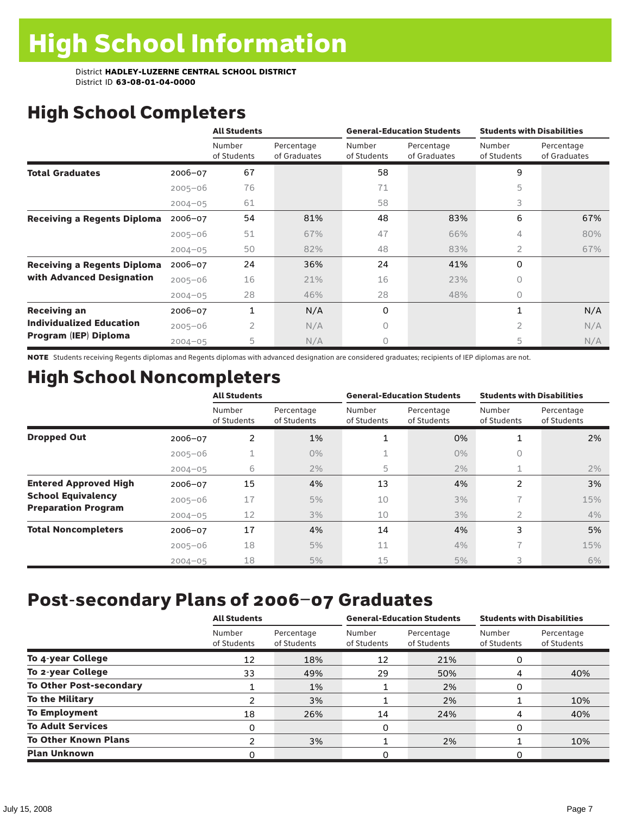# High School Completers

|                                    |             | <b>All Students</b>   |                            |                       | <b>General-Education Students</b> | <b>Students with Disabilities</b> |                            |  |
|------------------------------------|-------------|-----------------------|----------------------------|-----------------------|-----------------------------------|-----------------------------------|----------------------------|--|
|                                    |             | Number<br>of Students | Percentage<br>of Graduates | Number<br>of Students | Percentage<br>of Graduates        | Number<br>of Students             | Percentage<br>of Graduates |  |
| <b>Total Graduates</b>             | $2006 - 07$ | 67                    |                            | 58                    |                                   | 9                                 |                            |  |
|                                    | $2005 - 06$ | 76                    |                            | 71                    |                                   | 5                                 |                            |  |
|                                    | $2004 - 05$ | 61                    |                            | 58                    |                                   | 3                                 |                            |  |
| <b>Receiving a Regents Diploma</b> | $2006 - 07$ | 54                    | 81%                        | 48                    | 83%                               | 6                                 | 67%                        |  |
|                                    | $2005 - 06$ | 51                    | 67%                        | 47                    | 66%                               | 4                                 | 80%                        |  |
|                                    | $2004 - 05$ | 50                    | 82%                        | 48                    | 83%                               | $\overline{2}$                    | 67%                        |  |
| <b>Receiving a Regents Diploma</b> | $2006 - 07$ | 24                    | 36%                        | 24                    | 41%                               | $\Omega$                          |                            |  |
| with Advanced Designation          | $2005 - 06$ | 16                    | 21%                        | 16                    | 23%                               | $\Omega$                          |                            |  |
|                                    | $2004 - 05$ | 28                    | 46%                        | 28                    | 48%                               | $\circ$                           |                            |  |
| <b>Receiving an</b>                | $2006 - 07$ | 1                     | N/A                        | 0                     |                                   | 1                                 | N/A                        |  |
| <b>Individualized Education</b>    | $2005 - 06$ | $\overline{2}$        | N/A                        | 0                     |                                   | 2                                 | N/A                        |  |
| Program (IEP) Diploma              | $2004 - 05$ | 5                     | N/A                        | 0                     |                                   | 5                                 | N/A                        |  |

NOTE Students receiving Regents diplomas and Regents diplomas with advanced designation are considered graduates; recipients of IEP diplomas are not.

# High School Noncompleters

|                              |             | <b>All Students</b>   |                           |                       | <b>General-Education Students</b> | <b>Students with Disabilities</b> |                           |  |
|------------------------------|-------------|-----------------------|---------------------------|-----------------------|-----------------------------------|-----------------------------------|---------------------------|--|
|                              |             | Number<br>of Students | Percentage<br>of Students | Number<br>of Students | Percentage<br>of Students         | Number<br>of Students             | Percentage<br>of Students |  |
| <b>Dropped Out</b>           | 2006-07     | 2                     | 1%                        | 1                     | 0%                                |                                   | 2%                        |  |
|                              | $2005 - 06$ |                       | $0\%$                     |                       | $0\%$                             | 0                                 |                           |  |
|                              | $2004 - 05$ | 6                     | 2%                        | 5                     | 2%                                | 1                                 | 2%                        |  |
| <b>Entered Approved High</b> | $2006 - 07$ | 15                    | 4%                        | 13                    | 4%                                | 2                                 | 3%                        |  |
| <b>School Equivalency</b>    | $2005 - 06$ | 17                    | 5%                        | 10                    | 3%                                |                                   | 15%                       |  |
| <b>Preparation Program</b>   | $2004 - 05$ | 12                    | 3%                        | 10                    | 3%                                | $\overline{2}$                    | 4%                        |  |
| <b>Total Noncompleters</b>   | $2006 - 07$ | 17                    | 4%                        | 14                    | 4%                                | 3                                 | 5%                        |  |
|                              | $2005 - 06$ | 18                    | 5%                        | 11                    | 4%                                | $\overline{\phantom{a}}$          | 15%                       |  |
|                              | $2004 - 05$ | 18                    | 5%                        | 15                    | 5%                                | 3                                 | 6%                        |  |

# Post-secondary Plans of 2006–07 Graduates

|                                | <b>All Students</b>   |                           |                       | <b>General-Education Students</b> | <b>Students with Disabilities</b> |                           |  |
|--------------------------------|-----------------------|---------------------------|-----------------------|-----------------------------------|-----------------------------------|---------------------------|--|
|                                | Number<br>of Students | Percentage<br>of Students | Number<br>of Students | Percentage<br>of Students         | Number<br>of Students             | Percentage<br>of Students |  |
| To 4-year College              | 12                    | 18%                       | 12                    | 21%                               |                                   |                           |  |
| To 2-year College              | 33                    | 49%                       | 29                    | 50%                               | 4                                 | 40%                       |  |
| <b>To Other Post-secondary</b> |                       | 1%                        |                       | 2%                                | 0                                 |                           |  |
| <b>To the Military</b>         |                       | 3%                        |                       | 2%                                |                                   | 10%                       |  |
| <b>To Employment</b>           | 18                    | 26%                       | 14                    | 24%                               | 4                                 | 40%                       |  |
| <b>To Adult Services</b>       | 0                     |                           | 0                     |                                   | O                                 |                           |  |
| <b>To Other Known Plans</b>    | ົ                     | 3%                        |                       | 2%                                |                                   | 10%                       |  |
| <b>Plan Unknown</b>            | ი                     |                           | 0                     |                                   | O                                 |                           |  |